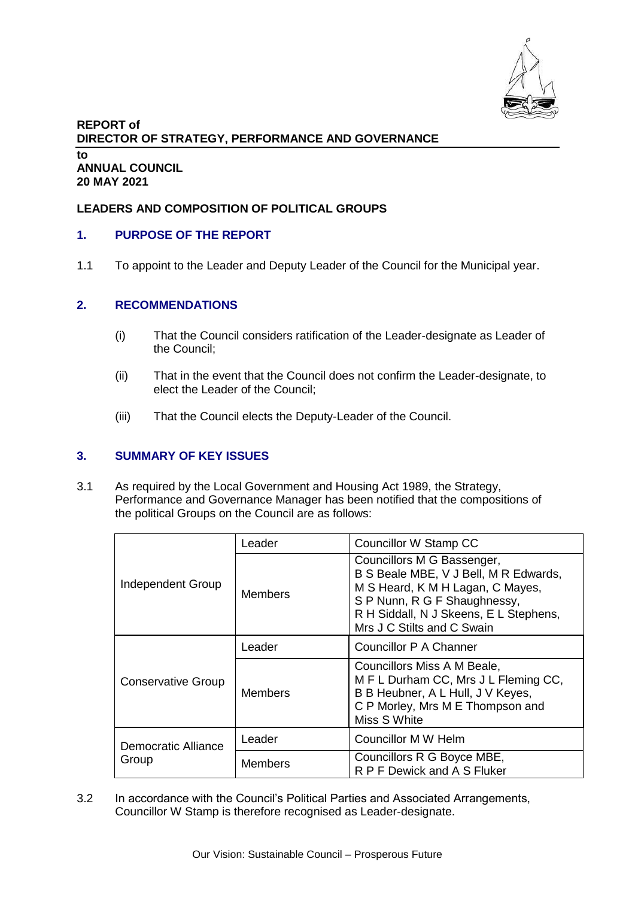

### **REPORT of DIRECTOR OF STRATEGY, PERFORMANCE AND GOVERNANCE to ANNUAL COUNCIL 20 MAY 2021**

# **LEADERS AND COMPOSITION OF POLITICAL GROUPS**

### **1. PURPOSE OF THE REPORT**

1.1 To appoint to the Leader and Deputy Leader of the Council for the Municipal year.

#### **2. RECOMMENDATIONS**

- (i) That the Council considers ratification of the Leader-designate as Leader of the Council;
- (ii) That in the event that the Council does not confirm the Leader-designate, to elect the Leader of the Council;
- (iii) That the Council elects the Deputy-Leader of the Council.

### **3. SUMMARY OF KEY ISSUES**

3.1 As required by the Local Government and Housing Act 1989, the Strategy, Performance and Governance Manager has been notified that the compositions of the political Groups on the Council are as follows:

| Independent Group            | Leader         | Councillor W Stamp CC                                                                                                                                                                                           |
|------------------------------|----------------|-----------------------------------------------------------------------------------------------------------------------------------------------------------------------------------------------------------------|
|                              | <b>Members</b> | Councillors M G Bassenger,<br>B S Beale MBE, V J Bell, M R Edwards,<br>M S Heard, K M H Lagan, C Mayes,<br>S P Nunn, R G F Shaughnessy,<br>R H Siddall, N J Skeens, E L Stephens,<br>Mrs J C Stilts and C Swain |
| <b>Conservative Group</b>    | Leader         | Councillor P A Channer                                                                                                                                                                                          |
|                              | <b>Members</b> | Councillors Miss A M Beale,<br>MFL Durham CC, Mrs JL Fleming CC,<br>B B Heubner, A L Hull, J V Keyes,<br>C P Morley, Mrs M E Thompson and<br>Miss S White                                                       |
| Democratic Alliance<br>Group | Leader         | Councillor M W Helm                                                                                                                                                                                             |
|                              | <b>Members</b> | Councillors R G Boyce MBE,<br>R P F Dewick and A S Fluker                                                                                                                                                       |

3.2 In accordance with the Council's Political Parties and Associated Arrangements, Councillor W Stamp is therefore recognised as Leader-designate.